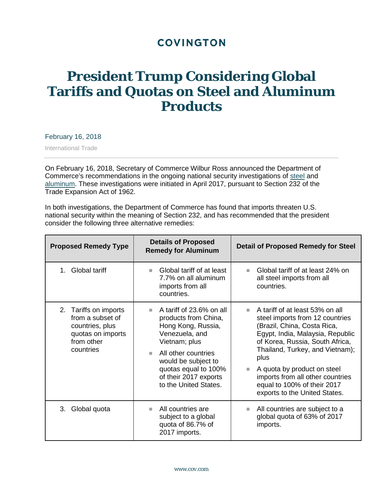## **COVINGTON**

## **President Trump Considering Global Tariffs and Quotas on Steel and Aluminum Products**

February 16, 2018

International Trade

On February 16, 2018, Secretary of Commerce Wilbur Ross announced the Department of Commerce's recommendations in the ongoing national security investigations of [steel](https://www.cov.com/-/media/files/corporate/publications/2017/04/trump_moves_on_steel_under_section-232.pdf) and [aluminum.](https://www.globalpolicywatch.com/2017/04/trump-moves-on-aluminum-under-section-232-steel-investigation-update/) These investigations were initiated in April 2017, pursuant to Section 232 of the Trade Expansion Act of 1962.

In both investigations, the Department of Commerce has found that imports threaten U.S. national security within the meaning of Section 232, and has recommended that the president consider the following three alternative remedies:

| <b>Proposed Remedy Type</b>                                                                                     | <b>Details of Proposed</b><br><b>Remedy for Aluminum</b>                                                                                                                                                                                | <b>Detail of Proposed Remedy for Steel</b>                                                                                                                                                                                                                                                                                                                                                  |
|-----------------------------------------------------------------------------------------------------------------|-----------------------------------------------------------------------------------------------------------------------------------------------------------------------------------------------------------------------------------------|---------------------------------------------------------------------------------------------------------------------------------------------------------------------------------------------------------------------------------------------------------------------------------------------------------------------------------------------------------------------------------------------|
| <b>Global tariff</b><br>1                                                                                       | Global tariff of at least<br>m.<br>7.7% on all aluminum<br>imports from all<br>countries.                                                                                                                                               | Global tariff of at least 24% on<br><b>In</b><br>all steel imports from all<br>countries.                                                                                                                                                                                                                                                                                                   |
| Tariffs on imports<br>2.<br>from a subset of<br>countries, plus<br>quotas on imports<br>from other<br>countries | A tariff of 23.6% on all<br>m.<br>products from China,<br>Hong Kong, Russia,<br>Venezuela, and<br>Vietnam; plus<br>All other countries<br>would be subject to<br>quotas equal to 100%<br>of their 2017 exports<br>to the United States. | A tariff of at least 53% on all<br>m.<br>steel imports from 12 countries<br>(Brazil, China, Costa Rica,<br>Egypt, India, Malaysia, Republic<br>of Korea, Russia, South Africa,<br>Thailand, Turkey, and Vietnam);<br>plus<br>A quota by product on steel<br>$\mathcal{L}_{\mathcal{A}}$<br>imports from all other countries<br>equal to 100% of their 2017<br>exports to the United States. |
| 3.<br>Global quota                                                                                              | All countries are<br>m.<br>subject to a global<br>quota of 86.7% of<br>2017 imports.                                                                                                                                                    | All countries are subject to a<br>m.<br>global quota of 63% of 2017<br>imports.                                                                                                                                                                                                                                                                                                             |